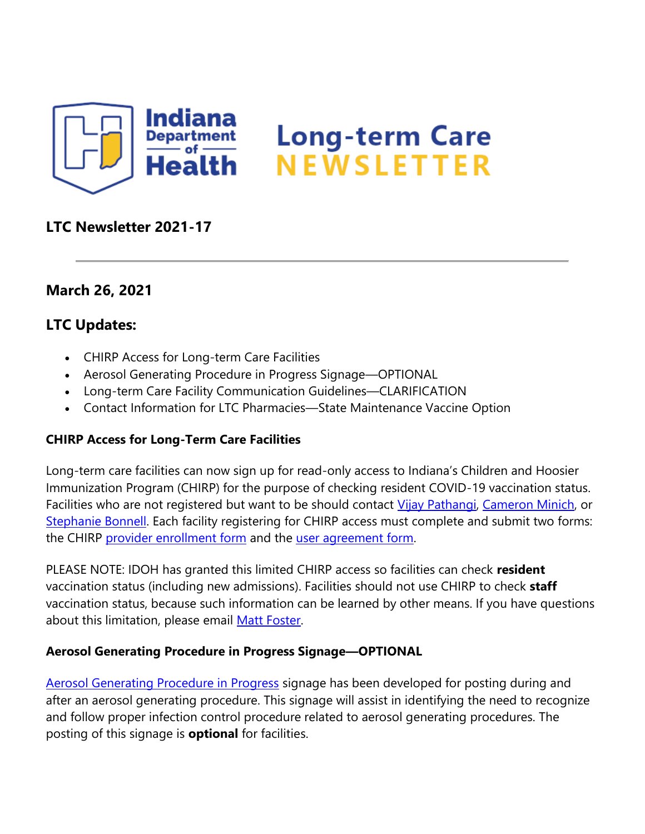

# **LTC Newsletter 2021-17**

## **March 26, 2021**

## **LTC Updates:**

- CHIRP Access for Long-term Care Facilities
- Aerosol Generating Procedure in Progress Signage—OPTIONAL
- Long-term Care Facility Communication Guidelines—CLARIFICATION
- Contact Information for LTC Pharmacies—State Maintenance Vaccine Option

#### **CHIRP Access for Long-Term Care Facilities**

Long-term care facilities can now sign up for read-only access to Indiana's Children and Hoosier Immunization Program (CHIRP) for the purpose of checking resident COVID-19 vaccination status. Facilities who are not registered but want to be should contact [Vijay Pathangi,](mailto:%20vpathang@isdh.in.gov) [Cameron Minich,](mailto:%20caminich@isdh.in.gov) or [Stephanie Bonnell.](mailto:%20sbonnell1@isdh.in.gov) Each facility registering for CHIRP access must complete and submit two forms: the CHIRP [provider enrollment form](%22https:/chirp.in.gov/chirp_files/docs/PROVIDER_SITE%20ENROLLMENT_AGREEMENT_revision_7-13_form_fill.pdf) and the [user agreement form.](https://lnks.gd/l/eyJhbGciOiJIUzI1NiJ9.eyJidWxsZXRpbl9saW5rX2lkIjoxMDAsInVyaSI6ImJwMjpjbGljayIsImJ1bGxldGluX2lkIjoiMjAyMTAzMjYuMzc4MDcwNTEiLCJ1cmwiOiJodHRwczovL2NoaXJwLmluLmdvdi9jaGlycF9maWxlcy9kb2NzL0lVQS0yMDE2LWVkaXQucGRmIn0.TJYKRrUyL3arIW6L3YcGlVTQpvmaoCorG8P35bXR-mY/s/1439130268/br/100752880464-l)

PLEASE NOTE: IDOH has granted this limited CHIRP access so facilities can check **resident** vaccination status (including new admissions). Facilities should not use CHIRP to check **staff** vaccination status, because such information can be learned by other means. If you have questions about this limitation, please email [Matt Foster.](mailto:%20mfoster@isdh.in.gov)

#### **Aerosol Generating Procedure in Progress Signage—OPTIONAL**

[Aerosol Generating Procedure in Progress](https://lnks.gd/l/eyJhbGciOiJIUzI1NiJ9.eyJidWxsZXRpbl9saW5rX2lkIjoxMDEsInVyaSI6ImJwMjpjbGljayIsImJ1bGxldGluX2lkIjoiMjAyMTAzMjYuMzc4MDcwNTEiLCJ1cmwiOiJodHRwczovL2NvbnRlbnQuZ292ZGVsaXZlcnkuY29tL2F0dGFjaG1lbnRzL0lOU0RILzIwMjEvMDMvMjYvZmlsZV9hdHRhY2htZW50cy8xNzM2NTk0L0FHUCUyMElOJTIwUFJPR1JFU1MucGRmIn0.X7ceh8wODyDSYOPjvX8fcCmLKy15Q1pYH2kGic8upoU/s/1439130268/br/100752880464-l) signage has been developed for posting during and after an aerosol generating procedure. This signage will assist in identifying the need to recognize and follow proper infection control procedure related to aerosol generating procedures. The posting of this signage is **optional** for facilities.